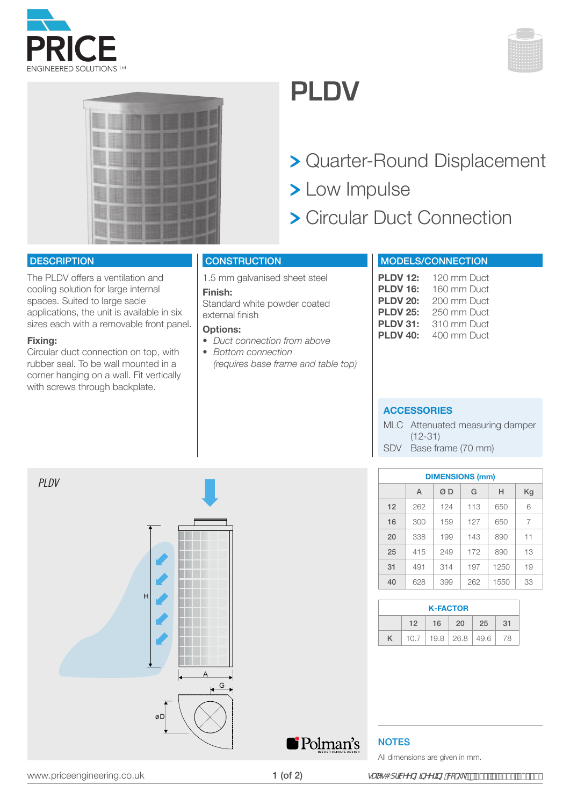





### **PLDV**

- > Quarter-Round Displacement
- > Low Impulse
- Circular Duct Connection

#### **DESCRIPTION**

The PLDV offers a ventilation and cooling solution for large internal spaces. Suited to large sacle applications, the unit is available in six sizes each with a removable front panel.

#### **Fixing:**

*PLDV*

Circular duct connection on top, with rubber seal. To be wall mounted in a corner hanging on a wall. Fit vertically with screws through backplate.

H

### **CONSTRUCTION**

1.5 mm galvanised sheet steel

#### **Finish:**

Standard white powder coated external finish

#### **Options:**

- *• Duct connection from above*
- *Bottom connection (requires base frame and table top)*

### MODELS/CONNECTION

| <b>PLDV 12:</b> | 120 mm Duct |
|-----------------|-------------|
| <b>PLDV 16:</b> | 160 mm Duct |
| <b>PLDV 20:</b> | 200 mm Duct |
| <b>PLDV 25:</b> | 250 mm Duct |
| <b>PLDV 31:</b> | 310 mm Duct |
| <b>PLDV 40:</b> | 400 mm Duct |

#### **ACCESSORIES**

MLC Attenuated measuring damper (12-31) SDV Base frame (70 mm)

| <b>DIMENSIONS (mm)</b> |     |     |     |      |    |  |  |
|------------------------|-----|-----|-----|------|----|--|--|
|                        | A   | ØΒ  | G   | н    | Kg |  |  |
| 12                     | 262 | 124 | 113 | 650  | 6  |  |  |
| 16                     | 300 | 159 | 127 | 650  | 7  |  |  |
| 20                     | 338 | 199 | 143 | 890  | 11 |  |  |
| 25                     | 415 | 249 | 172 | 890  | 13 |  |  |
| 31                     | 491 | 314 | 197 | 1250 | 19 |  |  |
| 40                     | 628 | 399 | 262 | 1550 | 33 |  |  |

| <b>K-FACTOR</b> |    |                             |     |    |    |  |  |  |  |
|-----------------|----|-----------------------------|-----|----|----|--|--|--|--|
|                 | 12 | 16                          | -20 | 25 | 31 |  |  |  |  |
|                 |    | $10.7$   19.8   26.8   49.6 |     |    | 78 |  |  |  |  |

# A G øD Polman's

### **NOTES**

All dimensions are given in mm.